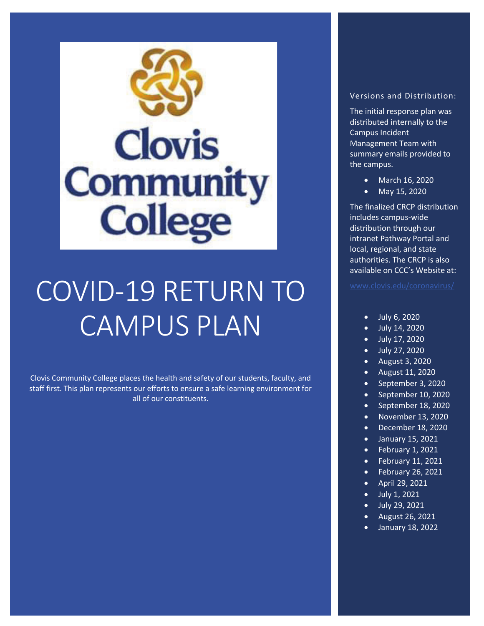

# COVID-19 RETURN TO CAMPUS PLAN

Clovis Community College places the health and safety of our students, faculty, and staff first. This plan represents our efforts to ensure a safe learning environment for all of our constituents.

#### Versions and Distribution:

The initial response plan was distributed internally to the Campus Incident Management Team with summary emails provided to the campus.

- March 16, 2020
- May 15, 2020

The finalized CRCP distribution includes campus-wide distribution through our intranet Pathway Portal and local, regional, and state authorities. The CRCP is also available on CCC's Website at:

- x July 6, 2020
- $\bullet$  July 14, 2020
- $\bullet$  July 17, 2020
- $\bullet$  July 27, 2020
- $\bullet$  August 3, 2020
- $\bullet$  August 11, 2020
- September 3, 2020
- $\bullet$  September 10, 2020
- September 18, 2020
- $\bullet$  November 13, 2020
- $\bullet$  December 18, 2020
- $\bullet$  January 15, 2021
- $\bullet$  February 1, 2021
- $\bullet$  February 11, 2021
- $\bullet$  February 26, 2021
- $\bullet$  April 29, 2021
- $\bullet$  July 1, 2021
- $\bullet$  July 29, 2021
- August 26, 2021
- $\bullet$  January 18, 2022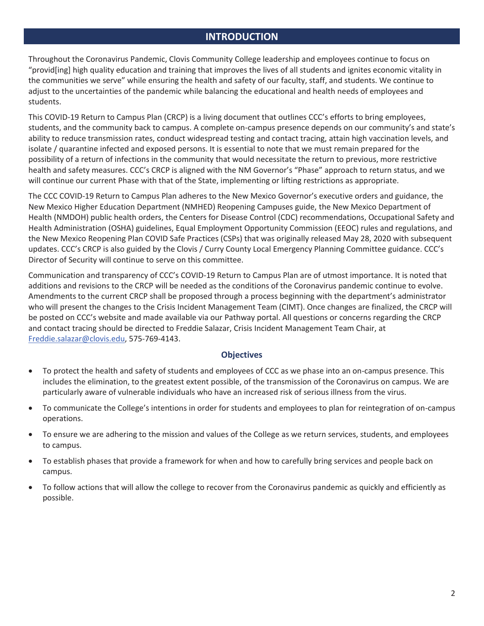## **INTRODUCTION**

Throughout the Coronavirus Pandemic, Clovis Community College leadership and employees continue to focus on "provid[ing] high quality education and training that improves the lives of all students and ignites economic vitality in the communities we serve" while ensuring the health and safety of our faculty, staff, and students. We continue to adjust to the uncertainties of the pandemic while balancing the educational and health needs of employees and students.

This COVID-19 Return to Campus Plan (CRCP) is a living document that outlines CCC's efforts to bring employees, students, and the community back to campus. A complete on-campus presence depends on our community's and state's ability to reduce transmission rates, conduct widespread testing and contact tracing, attain high vaccination levels, and isolate / quarantine infected and exposed persons. It is essential to note that we must remain prepared for the possibility of a return of infections in the community that would necessitate the return to previous, more restrictive health and safety measures. CCC's CRCP is aligned with the NM Governor's "Phase" approach to return status, and we will continue our current Phase with that of the State, implementing or lifting restrictions as appropriate.

The CCC COVID-19 Return to Campus Plan adheres to the New Mexico Governor's executive orders and guidance, the New Mexico Higher Education Department (NMHED) Reopening Campuses guide, the New Mexico Department of Health (NMDOH) public health orders, the Centers for Disease Control (CDC) recommendations, Occupational Safety and Health Administration (OSHA) guidelines, Equal Employment Opportunity Commission (EEOC) rules and regulations, and the New Mexico Reopening Plan COVID Safe Practices (CSPs) that was originally released May 28, 2020 with subsequent updates. CCC's CRCP is also guided by the Clovis / Curry County Local Emergency Planning Committee guidance. CCC's Director of Security will continue to serve on this committee.

Communication and transparency of CCC's COVID-19 Return to Campus Plan are of utmost importance. It is noted that additions and revisions to the CRCP will be needed as the conditions of the Coronavirus pandemic continue to evolve. Amendments to the current CRCP shall be proposed through a process beginning with the department's administrator who will present the changes to the Crisis Incident Management Team (CIMT). Once changes are finalized, the CRCP will be posted on CCC's website and made available via our Pathway portal. All questions or concerns regarding the CRCP and contact tracing should be directed to Freddie Salazar, Crisis Incident Management Team Chair, at Freddie.salazar@clovis.edu, 575-769-4143.

#### **Objectives**

- To protect the health and safety of students and employees of CCC as we phase into an on-campus presence. This includes the elimination, to the greatest extent possible, of the transmission of the Coronavirus on campus. We are particularly aware of vulnerable individuals who have an increased risk of serious illness from the virus.
- To communicate the College's intentions in order for students and employees to plan for reintegration of on-campus operations.
- To ensure we are adhering to the mission and values of the College as we return services, students, and employees to campus.
- To establish phases that provide a framework for when and how to carefully bring services and people back on campus.
- To follow actions that will allow the college to recover from the Coronavirus pandemic as quickly and efficiently as possible.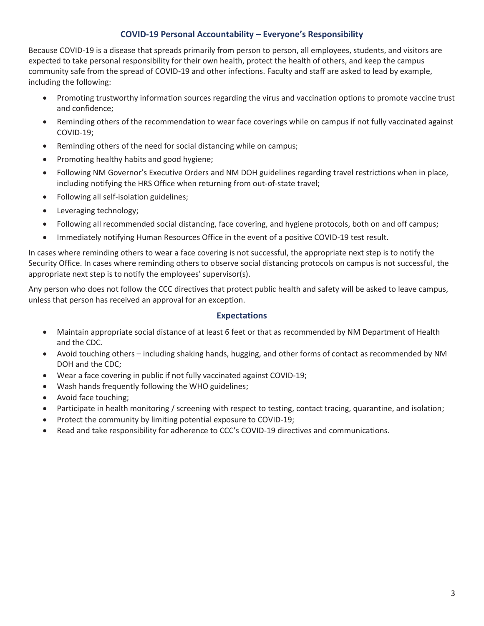#### **COVID-19 Personal Accountability – Everyone's Responsibility**

Because COVID-19 is a disease that spreads primarily from person to person, all employees, students, and visitors are expected to take personal responsibility for their own health, protect the health of others, and keep the campus community safe from the spread of COVID-19 and other infections. Faculty and staff are asked to lead by example, including the following:

- Promoting trustworthy information sources regarding the virus and vaccination options to promote vaccine trust and confidence;
- Reminding others of the recommendation to wear face coverings while on campus if not fully vaccinated against COVID-19;
- Reminding others of the need for social distancing while on campus;
- Promoting healthy habits and good hygiene;
- Following NM Governor's Executive Orders and NM DOH guidelines regarding travel restrictions when in place, including notifying the HRS Office when returning from out-of-state travel;
- Following all self-isolation guidelines;
- Leveraging technology;
- Following all recommended social distancing, face covering, and hygiene protocols, both on and off campus;
- Immediately notifying Human Resources Office in the event of a positive COVID-19 test result.

In cases where reminding others to wear a face covering is not successful, the appropriate next step is to notify the Security Office. In cases where reminding others to observe social distancing protocols on campus is not successful, the appropriate next step is to notify the employees' supervisor(s).

Any person who does not follow the CCC directives that protect public health and safety will be asked to leave campus, unless that person has received an approval for an exception.

#### **Expectations**

- Maintain appropriate social distance of at least 6 feet or that as recommended by NM Department of Health and the CDC.
- Avoid touching others including shaking hands, hugging, and other forms of contact as recommended by NM DOH and the CDC;
- Wear a face covering in public if not fully vaccinated against COVID-19;
- Wash hands frequently following the WHO guidelines;
- Avoid face touching;
- Participate in health monitoring / screening with respect to testing, contact tracing, quarantine, and isolation;
- Protect the community by limiting potential exposure to COVID-19;
- Read and take responsibility for adherence to CCC's COVID-19 directives and communications.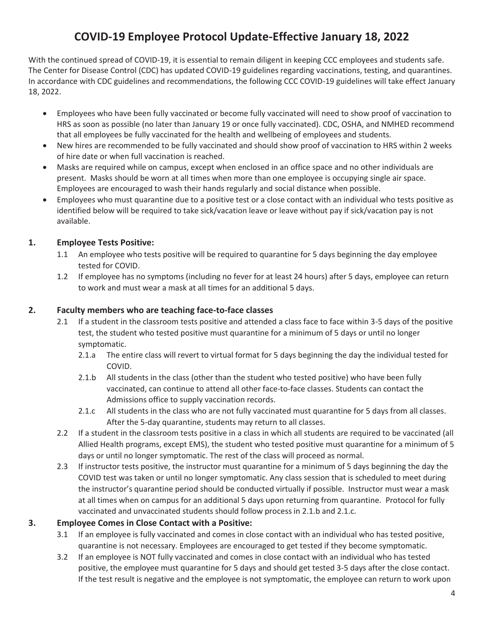# **COVID-19 Employee Protocol Update-Effective January 18, 2022**

With the continued spread of COVID-19, it is essential to remain diligent in keeping CCC employees and students safe. The Center for Disease Control (CDC) has updated COVID-19 guidelines regarding vaccinations, testing, and quarantines. In accordance with CDC guidelines and recommendations, the following CCC COVID-19 guidelines will take effect January 18, 2022.

- Employees who have been fully vaccinated or become fully vaccinated will need to show proof of vaccination to HRS as soon as possible (no later than January 19 or once fully vaccinated). CDC, OSHA, and NMHED recommend that all employees be fully vaccinated for the health and wellbeing of employees and students.
- New hires are recommended to be fully vaccinated and should show proof of vaccination to HRS within 2 weeks of hire date or when full vaccination is reached.
- Masks are required while on campus, except when enclosed in an office space and no other individuals are present. Masks should be worn at all times when more than one employee is occupying single air space. Employees are encouraged to wash their hands regularly and social distance when possible.
- Employees who must quarantine due to a positive test or a close contact with an individual who tests positive as identified below will be required to take sick/vacation leave or leave without pay if sick/vacation pay is not available.

## **1. Employee Tests Positive:**

- 1.1 An employee who tests positive will be required to quarantine for 5 days beginning the day employee tested for COVID.
- 1.2 If employee has no symptoms (including no fever for at least 24 hours) after 5 days, employee can return to work and must wear a mask at all times for an additional 5 days.

#### **2. Faculty members who are teaching face-to-face classes**

- 2.1 If a student in the classroom tests positive and attended a class face to face within 3-5 days of the positive test, the student who tested positive must quarantine for a minimum of 5 days or until no longer symptomatic.
	- 2.1.a The entire class will revert to virtual format for 5 days beginning the day the individual tested for COVID.
	- 2.1.b All students in the class (other than the student who tested positive) who have been fully vaccinated, can continue to attend all other face-to-face classes. Students can contact the Admissions office to supply vaccination records.
	- 2.1.c All students in the class who are not fully vaccinated must quarantine for 5 days from all classes. After the 5-day quarantine, students may return to all classes.
- 2.2 If a student in the classroom tests positive in a class in which all students are required to be vaccinated (all Allied Health programs, except EMS), the student who tested positive must quarantine for a minimum of 5 days or until no longer symptomatic. The rest of the class will proceed as normal.
- 2.3 If instructor tests positive, the instructor must quarantine for a minimum of 5 days beginning the day the COVID test was taken or until no longer symptomatic. Any class session that is scheduled to meet during the instructor's quarantine period should be conducted virtually if possible. Instructor must wear a mask at all times when on campus for an additional 5 days upon returning from quarantine. Protocol for fully vaccinated and unvaccinated students should follow process in 2.1.b and 2.1.c.

#### **3. Employee Comes in Close Contact with a Positive:**

- 3.1 If an employee is fully vaccinated and comes in close contact with an individual who has tested positive, quarantine is not necessary. Employees are encouraged to get tested if they become symptomatic.
- 3.2 If an employee is NOT fully vaccinated and comes in close contact with an individual who has tested positive, the employee must quarantine for 5 days and should get tested 3-5 days after the close contact. If the test result is negative and the employee is not symptomatic, the employee can return to work upon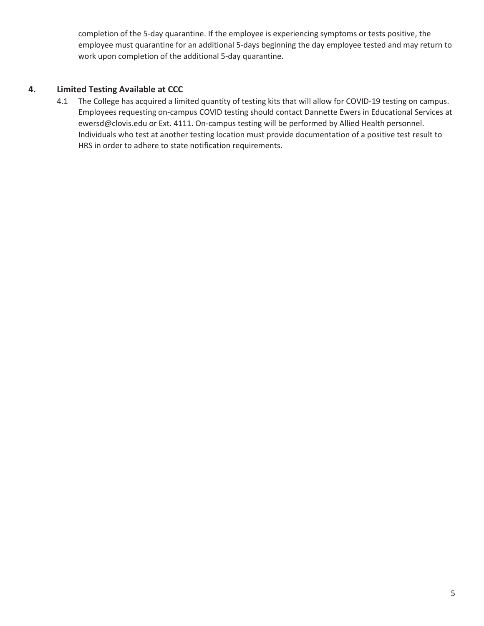completion of the 5-day quarantine. If the employee is experiencing symptoms or tests positive, the employee must quarantine for an additional 5-days beginning the day employee tested and may return to work upon completion of the additional 5-day quarantine.

#### **4. Limited Testing Available at CCC**

4.1 The College has acquired a limited quantity of testing kits that will allow for COVID-19 testing on campus. Employees requesting on-campus COVID testing should contact Dannette Ewers in Educational Services at ewersd@clovis.edu or Ext. 4111. On-campus testing will be performed by Allied Health personnel. Individuals who test at another testing location must provide documentation of a positive test result to HRS in order to adhere to state notification requirements.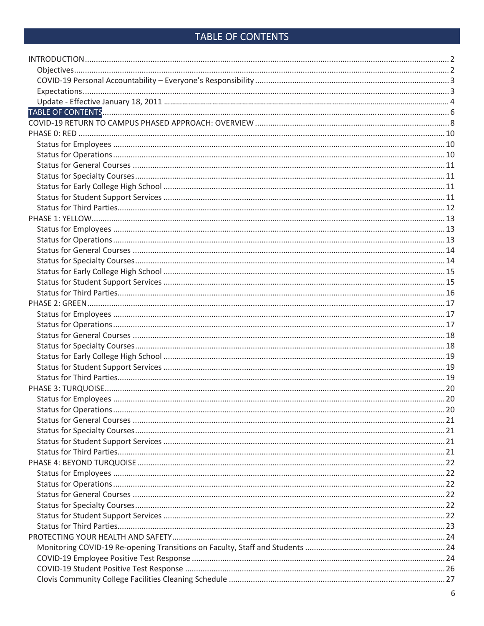# TABLE OF CONTENTS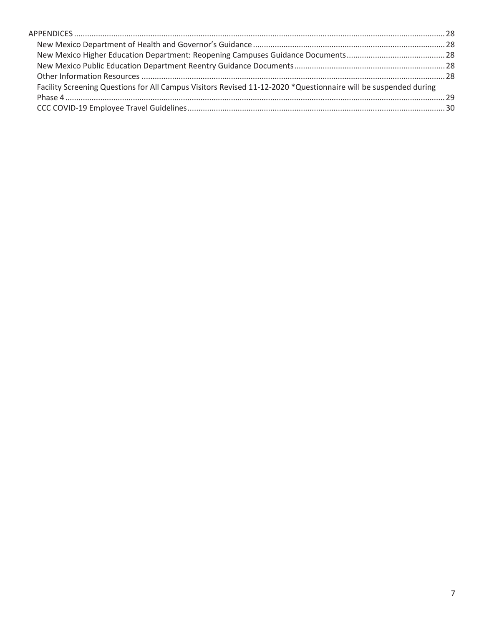| Facility Screening Questions for All Campus Visitors Revised 11-12-2020 *Questionnaire will be suspended during |  |
|-----------------------------------------------------------------------------------------------------------------|--|
|                                                                                                                 |  |
|                                                                                                                 |  |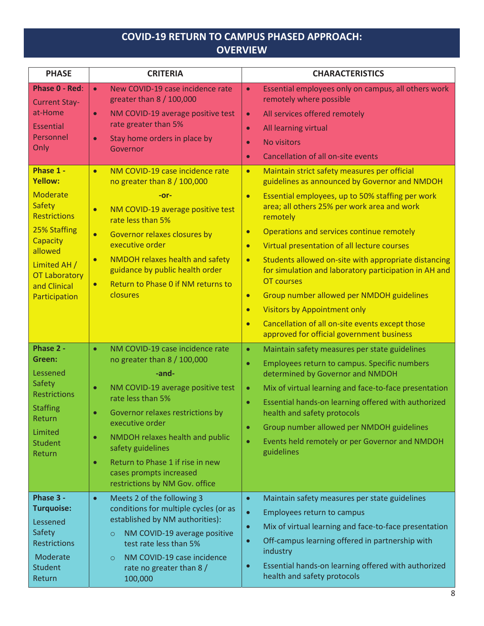# **COVID-19 RETURN TO CAMPUS PHASED APPROACH: OVERVIEW**

| <b>PHASE</b>                                                                                                                                                                                           | <b>CRITERIA</b>                                                                                                                                                                                                                                                                                                                                                                                       | <b>CHARACTERISTICS</b>                                                                                                                                                                                                                                                                                                                                                                                                                                                                                                                                                                                                                                                                                                              |
|--------------------------------------------------------------------------------------------------------------------------------------------------------------------------------------------------------|-------------------------------------------------------------------------------------------------------------------------------------------------------------------------------------------------------------------------------------------------------------------------------------------------------------------------------------------------------------------------------------------------------|-------------------------------------------------------------------------------------------------------------------------------------------------------------------------------------------------------------------------------------------------------------------------------------------------------------------------------------------------------------------------------------------------------------------------------------------------------------------------------------------------------------------------------------------------------------------------------------------------------------------------------------------------------------------------------------------------------------------------------------|
| Phase 0 - Red:<br><b>Current Stay-</b><br>at-Home<br><b>Essential</b><br>Personnel<br>Only                                                                                                             | New COVID-19 case incidence rate<br>$\bullet$<br>greater than 8 / 100,000<br>NM COVID-19 average positive test<br>$\bullet$<br>rate greater than 5%<br>Stay home orders in place by<br>$\bullet$<br>Governor                                                                                                                                                                                          | Essential employees only on campus, all others work<br>$\bullet$<br>remotely where possible<br>All services offered remotely<br>$\bullet$<br>All learning virtual<br>$\bullet$<br><b>No visitors</b><br>$\bullet$<br>Cancellation of all on-site events<br>$\bullet$                                                                                                                                                                                                                                                                                                                                                                                                                                                                |
| Phase 1 -<br><b>Yellow:</b><br><b>Moderate</b><br><b>Safety</b><br><b>Restrictions</b><br>25% Staffing<br>Capacity<br>allowed<br>Limited AH /<br><b>OT Laboratory</b><br>and Clinical<br>Participation | NM COVID-19 case incidence rate<br>$\bullet$<br>no greater than 8 / 100,000<br>-or-<br>NM COVID-19 average positive test<br>$\bullet$<br>rate less than 5%<br>Governor relaxes closures by<br>$\bullet$<br>executive order<br>NMDOH relaxes health and safety<br>$\bullet$<br>guidance by public health order<br>Return to Phase 0 if NM returns to<br>$\bullet$<br>closures                          | Maintain strict safety measures per official<br>$\bullet$<br>guidelines as announced by Governor and NMDOH<br>Essential employees, up to 50% staffing per work<br>$\bullet$<br>area; all others 25% per work area and work<br>remotely<br>Operations and services continue remotely<br>$\bullet$<br>Virtual presentation of all lecture courses<br>$\bullet$<br>Students allowed on-site with appropriate distancing<br>$\bullet$<br>for simulation and laboratory participation in AH and<br>OT courses<br>Group number allowed per NMDOH guidelines<br>$\bullet$<br><b>Visitors by Appointment only</b><br>$\bullet$<br>Cancellation of all on-site events except those<br>$\bullet$<br>approved for official government business |
| Phase 2 -<br>Green:<br>Lessened<br><b>Safety</b><br><b>Restrictions</b><br><b>Staffing</b><br>Return<br>Limited<br><b>Student</b><br>Return                                                            | NM COVID-19 case incidence rate<br>$\bullet$<br>no greater than 8 / 100,000<br>-and-<br>NM COVID-19 average positive test<br>$\bullet$<br>rate less than 5%<br>Governor relaxes restrictions by<br>executive order<br>NMDOH relaxes health and public<br>$\bullet$<br>safety guidelines<br>Return to Phase 1 if rise in new<br>$\bullet$<br>cases prompts increased<br>restrictions by NM Gov. office | Maintain safety measures per state guidelines<br>$\bullet$<br>Employees return to campus. Specific numbers<br>$\bullet$<br>determined by Governor and NMDOH<br>Mix of virtual learning and face-to-face presentation<br>$\bullet$<br>Essential hands-on learning offered with authorized<br>$\bullet$<br>health and safety protocols<br>Group number allowed per NMDOH guidelines<br>$\bullet$<br>Events held remotely or per Governor and NMDOH<br>$\bullet$<br>guidelines                                                                                                                                                                                                                                                         |
| Phase 3 -<br><b>Turquoise:</b><br>Lessened<br>Safety<br><b>Restrictions</b><br>Moderate<br><b>Student</b><br>Return                                                                                    | Meets 2 of the following 3<br>$\bullet$<br>conditions for multiple cycles (or as<br>established by NM authorities):<br>NM COVID-19 average positive<br>$\circ$<br>test rate less than 5%<br>NM COVID-19 case incidence<br>$\circ$<br>rate no greater than 8 /<br>100,000                                                                                                                              | Maintain safety measures per state guidelines<br>$\bullet$<br>Employees return to campus<br>$\bullet$<br>Mix of virtual learning and face-to-face presentation<br>$\bullet$<br>Off-campus learning offered in partnership with<br>$\bullet$<br>industry<br>Essential hands-on learning offered with authorized<br>$\bullet$<br>health and safety protocols                                                                                                                                                                                                                                                                                                                                                                          |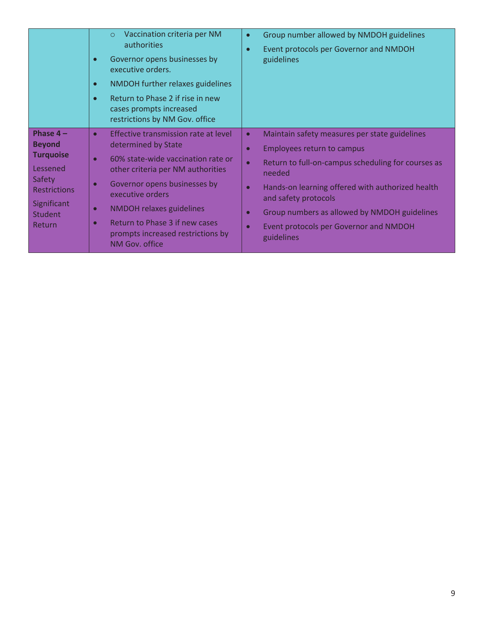|                                                                                                                                         | Vaccination criteria per NM<br>$\circ$<br>authorities<br>Governor opens businesses by<br>$\bullet$<br>executive orders.<br>NMDOH further relaxes guidelines<br>$\bullet$<br>Return to Phase 2 if rise in new<br>$\bullet$<br>cases prompts increased<br>restrictions by NM Gov. office                                                                                    | Group number allowed by NMDOH guidelines<br>$\bullet$<br>Event protocols per Governor and NMDOH<br>$\bullet$<br>guidelines                                                                                                                                                                                                                                            |
|-----------------------------------------------------------------------------------------------------------------------------------------|---------------------------------------------------------------------------------------------------------------------------------------------------------------------------------------------------------------------------------------------------------------------------------------------------------------------------------------------------------------------------|-----------------------------------------------------------------------------------------------------------------------------------------------------------------------------------------------------------------------------------------------------------------------------------------------------------------------------------------------------------------------|
| Phase $4-$<br><b>Beyond</b><br><b>Turquoise</b><br>Lessened<br>Safety<br><b>Restrictions</b><br>Significant<br><b>Student</b><br>Return | Effective transmission rate at level<br>$\bullet$<br>determined by State<br>60% state-wide vaccination rate or<br>other criteria per NM authorities<br>Governor opens businesses by<br>$\Omega$<br>executive orders<br><b>NMDOH relaxes guidelines</b><br>$\bullet$<br>Return to Phase 3 if new cases<br>$\bullet$<br>prompts increased restrictions by<br>NM Gov. office | Maintain safety measures per state guidelines<br>$\bullet$<br><b>Employees return to campus</b><br>О<br>Return to full-on-campus scheduling for courses as<br>$\bullet$<br>needed<br>Hands-on learning offered with authorized health<br>and safety protocols<br>Group numbers as allowed by NMDOH guidelines<br>Event protocols per Governor and NMDOH<br>guidelines |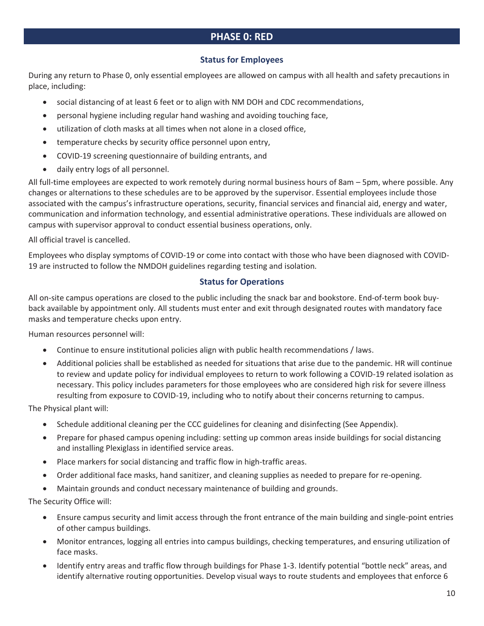# **PHASE 0: RED**

#### **Status for Employees**

During any return to Phase 0, only essential employees are allowed on campus with all health and safety precautions in place, including:

- social distancing of at least 6 feet or to align with NM DOH and CDC recommendations,
- **•** personal hygiene including regular hand washing and avoiding touching face,
- **•** utilization of cloth masks at all times when not alone in a closed office,
- temperature checks by security office personnel upon entry,
- COVID-19 screening questionnaire of building entrants, and
- daily entry logs of all personnel.

All full-time employees are expected to work remotely during normal business hours of 8am – 5pm, where possible. Any changes or alternations to these schedules are to be approved by the supervisor. Essential employees include those associated with the campus's infrastructure operations, security, financial services and financial aid, energy and water, communication and information technology, and essential administrative operations. These individuals are allowed on campus with supervisor approval to conduct essential business operations, only.

All official travel is cancelled.

Employees who display symptoms of COVID-19 or come into contact with those who have been diagnosed with COVID-19 are instructed to follow the NMDOH guidelines regarding testing and isolation.

#### **Status for Operations**

All on-site campus operations are closed to the public including the snack bar and bookstore. End-of-term book buyback available by appointment only. All students must enter and exit through designated routes with mandatory face masks and temperature checks upon entry.

Human resources personnel will:

- Continue to ensure institutional policies align with public health recommendations / laws.
- Additional policies shall be established as needed for situations that arise due to the pandemic. HR will continue to review and update policy for individual employees to return to work following a COVID-19 related isolation as necessary. This policy includes parameters for those employees who are considered high risk for severe illness resulting from exposure to COVID-19, including who to notify about their concerns returning to campus.

The Physical plant will:

- Schedule additional cleaning per the CCC guidelines for cleaning and disinfecting (See Appendix).
- x Prepare for phased campus opening including: setting up common areas inside buildings for social distancing and installing Plexiglass in identified service areas.
- Place markers for social distancing and traffic flow in high-traffic areas.
- Order additional face masks, hand sanitizer, and cleaning supplies as needed to prepare for re-opening.
- Maintain grounds and conduct necessary maintenance of building and grounds.

The Security Office will:

- Ensure campus security and limit access through the front entrance of the main building and single-point entries of other campus buildings.
- x Monitor entrances, logging all entries into campus buildings, checking temperatures, and ensuring utilization of face masks.
- Identify entry areas and traffic flow through buildings for Phase 1-3. Identify potential "bottle neck" areas, and identify alternative routing opportunities. Develop visual ways to route students and employees that enforce 6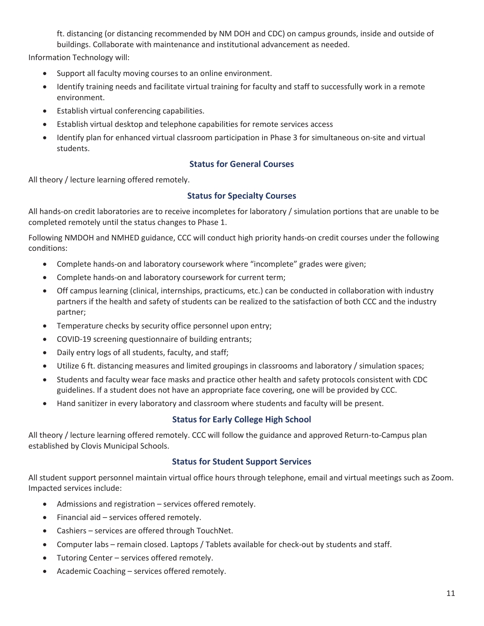ft. distancing (or distancing recommended by NM DOH and CDC) on campus grounds, inside and outside of buildings. Collaborate with maintenance and institutional advancement as needed.

Information Technology will:

- Support all faculty moving courses to an online environment.
- Identify training needs and facilitate virtual training for faculty and staff to successfully work in a remote environment.
- Establish virtual conferencing capabilities.
- Establish virtual desktop and telephone capabilities for remote services access
- Identify plan for enhanced virtual classroom participation in Phase 3 for simultaneous on-site and virtual students.

#### **Status for General Courses**

All theory / lecture learning offered remotely.

#### **Status for Specialty Courses**

All hands-on credit laboratories are to receive incompletes for laboratory / simulation portions that are unable to be completed remotely until the status changes to Phase 1.

Following NMDOH and NMHED guidance, CCC will conduct high priority hands-on credit courses under the following conditions:

- Complete hands-on and laboratory coursework where "incomplete" grades were given;
- Complete hands-on and laboratory coursework for current term;
- Off campus learning (clinical, internships, practicums, etc.) can be conducted in collaboration with industry partners if the health and safety of students can be realized to the satisfaction of both CCC and the industry partner;
- Temperature checks by security office personnel upon entry;
- COVID-19 screening questionnaire of building entrants;
- Daily entry logs of all students, faculty, and staff;
- Utilize 6 ft. distancing measures and limited groupings in classrooms and laboratory / simulation spaces;
- x Students and faculty wear face masks and practice other health and safety protocols consistent with CDC guidelines. If a student does not have an appropriate face covering, one will be provided by CCC.
- Hand sanitizer in every laboratory and classroom where students and faculty will be present.

#### **Status for Early College High School**

All theory / lecture learning offered remotely. CCC will follow the guidance and approved Return-to-Campus plan established by Clovis Municipal Schools.

#### **Status for Student Support Services**

All student support personnel maintain virtual office hours through telephone, email and virtual meetings such as Zoom. Impacted services include:

- Admissions and registration services offered remotely.
- Financial aid services offered remotely.
- Cashiers services are offered through TouchNet.
- Computer labs remain closed. Laptops / Tablets available for check-out by students and staff.
- Tutoring Center services offered remotely.
- $\bullet$  Academic Coaching services offered remotely.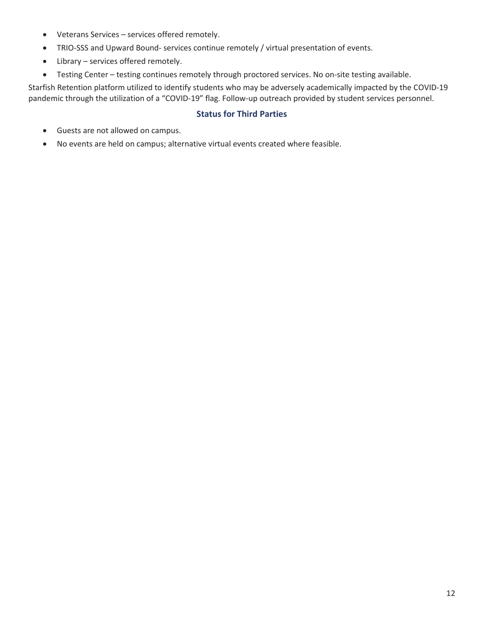- Veterans Services services offered remotely.
- TRIO-SSS and Upward Bound- services continue remotely / virtual presentation of events.
- $\bullet$  Library services offered remotely.
- Testing Center testing continues remotely through proctored services. No on-site testing available.

Starfish Retention platform utilized to identify students who may be adversely academically impacted by the COVID-19 pandemic through the utilization of a "COVID-19" flag. Follow-up outreach provided by student services personnel.

#### **Status for Third Parties**

- Guests are not allowed on campus.
- No events are held on campus; alternative virtual events created where feasible.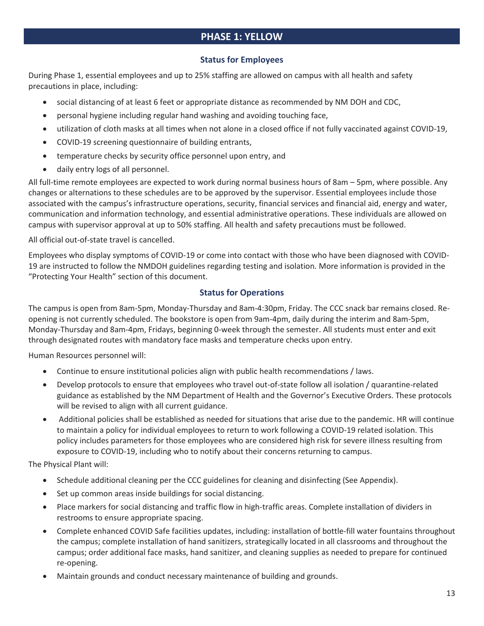# **PHASE 1: YELLOW**

#### **Status for Employees**

During Phase 1, essential employees and up to 25% staffing are allowed on campus with all health and safety precautions in place, including:

- social distancing of at least 6 feet or appropriate distance as recommended by NM DOH and CDC,
- **•** personal hygiene including regular hand washing and avoiding touching face,
- x utilization of cloth masks at all times when not alone in a closed office if not fully vaccinated against COVID-19,
- COVID-19 screening questionnaire of building entrants,
- temperature checks by security office personnel upon entry, and
- daily entry logs of all personnel.

All full-time remote employees are expected to work during normal business hours of 8am – 5pm, where possible. Any changes or alternations to these schedules are to be approved by the supervisor. Essential employees include those associated with the campus's infrastructure operations, security, financial services and financial aid, energy and water, communication and information technology, and essential administrative operations. These individuals are allowed on campus with supervisor approval at up to 50% staffing. All health and safety precautions must be followed.

All official out-of-state travel is cancelled.

Employees who display symptoms of COVID-19 or come into contact with those who have been diagnosed with COVID-19 are instructed to follow the NMDOH guidelines regarding testing and isolation. More information is provided in the "Protecting Your Health" section of this document.

#### **Status for Operations**

The campus is open from 8am-5pm, Monday-Thursday and 8am-4:30pm, Friday. The CCC snack bar remains closed. Reopening is not currently scheduled. The bookstore is open from 9am-4pm, daily during the interim and 8am-5pm, Monday-Thursday and 8am-4pm, Fridays, beginning 0-week through the semester. All students must enter and exit through designated routes with mandatory face masks and temperature checks upon entry.

Human Resources personnel will:

- Continue to ensure institutional policies align with public health recommendations / laws.
- Develop protocols to ensure that employees who travel out-of-state follow all isolation / quarantine-related guidance as established by the NM Department of Health and the Governor's Executive Orders. These protocols will be revised to align with all current guidance.
- x Additional policies shall be established as needed for situations that arise due to the pandemic. HR will continue to maintain a policy for individual employees to return to work following a COVID-19 related isolation. This policy includes parameters for those employees who are considered high risk for severe illness resulting from exposure to COVID-19, including who to notify about their concerns returning to campus.

The Physical Plant will:

- Schedule additional cleaning per the CCC guidelines for cleaning and disinfecting (See Appendix).
- Set up common areas inside buildings for social distancing.
- x Place markers for social distancing and traffic flow in high-traffic areas. Complete installation of dividers in restrooms to ensure appropriate spacing.
- Complete enhanced COVID Safe facilities updates, including: installation of bottle-fill water fountains throughout the campus; complete installation of hand sanitizers, strategically located in all classrooms and throughout the campus; order additional face masks, hand sanitizer, and cleaning supplies as needed to prepare for continued re-opening.
- x Maintain grounds and conduct necessary maintenance of building and grounds.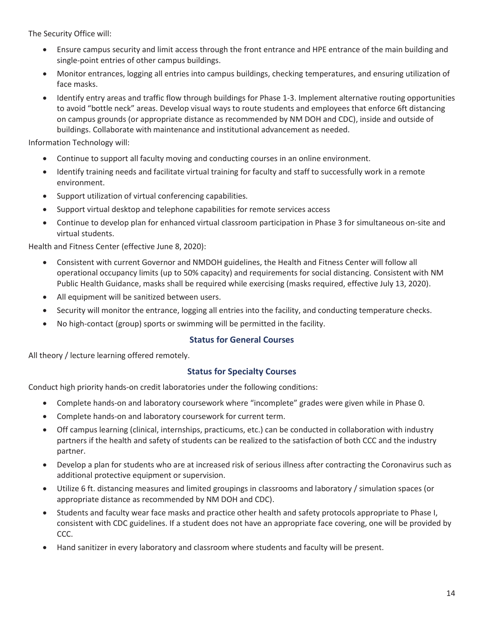The Security Office will:

- Ensure campus security and limit access through the front entrance and HPE entrance of the main building and single-point entries of other campus buildings.
- x Monitor entrances, logging all entries into campus buildings, checking temperatures, and ensuring utilization of face masks.
- Identify entry areas and traffic flow through buildings for Phase 1-3. Implement alternative routing opportunities to avoid "bottle neck" areas. Develop visual ways to route students and employees that enforce 6ft distancing on campus grounds (or appropriate distance as recommended by NM DOH and CDC), inside and outside of buildings. Collaborate with maintenance and institutional advancement as needed.

Information Technology will:

- Continue to support all faculty moving and conducting courses in an online environment.
- Identify training needs and facilitate virtual training for faculty and staff to successfully work in a remote environment.
- Support utilization of virtual conferencing capabilities.
- Support virtual desktop and telephone capabilities for remote services access
- Continue to develop plan for enhanced virtual classroom participation in Phase 3 for simultaneous on-site and virtual students.

Health and Fitness Center (effective June 8, 2020):

- x Consistent with current Governor and NMDOH guidelines, the Health and Fitness Center will follow all operational occupancy limits (up to 50% capacity) and requirements for social distancing. Consistent with NM Public Health Guidance, masks shall be required while exercising (masks required, effective July 13, 2020).
- All equipment will be sanitized between users.
- Security will monitor the entrance, logging all entries into the facility, and conducting temperature checks.
- No high-contact (group) sports or swimming will be permitted in the facility.

#### **Status for General Courses**

All theory / lecture learning offered remotely.

#### **Status for Specialty Courses**

Conduct high priority hands-on credit laboratories under the following conditions:

- Complete hands-on and laboratory coursework where "incomplete" grades were given while in Phase 0.
- Complete hands-on and laboratory coursework for current term.
- Off campus learning (clinical, internships, practicums, etc.) can be conducted in collaboration with industry partners if the health and safety of students can be realized to the satisfaction of both CCC and the industry partner.
- Develop a plan for students who are at increased risk of serious illness after contracting the Coronavirus such as additional protective equipment or supervision.
- x Utilize 6 ft. distancing measures and limited groupings in classrooms and laboratory / simulation spaces (or appropriate distance as recommended by NM DOH and CDC).
- Students and faculty wear face masks and practice other health and safety protocols appropriate to Phase I, consistent with CDC guidelines. If a student does not have an appropriate face covering, one will be provided by CCC.
- Hand sanitizer in every laboratory and classroom where students and faculty will be present.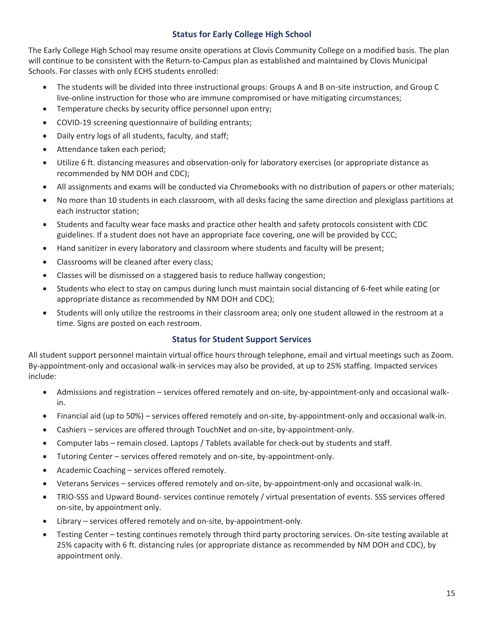#### **Status for Early College High School**

The Early College High School may resume onsite operations at Clovis Community College on a modified basis. The plan will continue to be consistent with the Return-to-Campus plan as established and maintained by Clovis Municipal Schools. For classes with only ECHS students enrolled:

- The students will be divided into three instructional groups: Groups A and B on-site instruction, and Group C live-online instruction for those who are immune compromised or have mitigating circumstances;
- Temperature checks by security office personnel upon entry;
- COVID-19 screening questionnaire of building entrants;
- Daily entry logs of all students, faculty, and staff;
- Attendance taken each period;
- Utilize 6 ft. distancing measures and observation-only for laboratory exercises (or appropriate distance as recommended by NM DOH and CDC);
- All assignments and exams will be conducted via Chromebooks with no distribution of papers or other materials;
- No more than 10 students in each classroom, with all desks facing the same direction and plexiglass partitions at each instructor station;
- Students and faculty wear face masks and practice other health and safety protocols consistent with CDC guidelines. If a student does not have an appropriate face covering, one will be provided by CCC;
- Hand sanitizer in every laboratory and classroom where students and faculty will be present;
- Classrooms will be cleaned after every class;
- Classes will be dismissed on a staggered basis to reduce hallway congestion;
- Students who elect to stay on campus during lunch must maintain social distancing of 6-feet while eating (or appropriate distance as recommended by NM DOH and CDC);
- Students will only utilize the restrooms in their classroom area; only one student allowed in the restroom at a time. Signs are posted on each restroom.

#### **Status for Student Support Services**

All student support personnel maintain virtual office hours through telephone, email and virtual meetings such as Zoom. By-appointment-only and occasional walk-in services may also be provided, at up to 25% staffing. Impacted services include:

- Admissions and registration services offered remotely and on-site, by-appointment-only and occasional walkin.
- Financial aid (up to 50%) services offered remotely and on-site, by-appointment-only and occasional walk-in.
- Cashiers services are offered through TouchNet and on-site, by-appointment-only.
- Computer labs remain closed. Laptops / Tablets available for check-out by students and staff.
- Tutoring Center services offered remotely and on-site, by-appointment-only.
- Academic Coaching services offered remotely.
- x Veterans Services services offered remotely and on-site, by-appointment-only and occasional walk-in.
- TRIO-SSS and Upward Bound- services continue remotely / virtual presentation of events. SSS services offered on-site, by appointment only.
- Library services offered remotely and on-site, by-appointment-only.
- Testing Center testing continues remotely through third party proctoring services. On-site testing available at 25% capacity with 6 ft. distancing rules (or appropriate distance as recommended by NM DOH and CDC), by appointment only.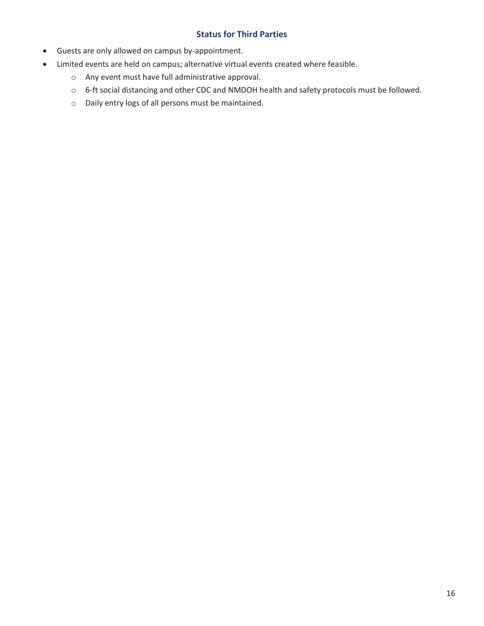#### **Status for Third Parties**

- Guests are only allowed on campus by-appointment.
- Limited events are held on campus; alternative virtual events created where feasible.
	- o Any event must have full administrative approval.
	- o 6-ft social distancing and other CDC and NMDOH health and safety protocols must be followed.
	- o Daily entry logs of all persons must be maintained.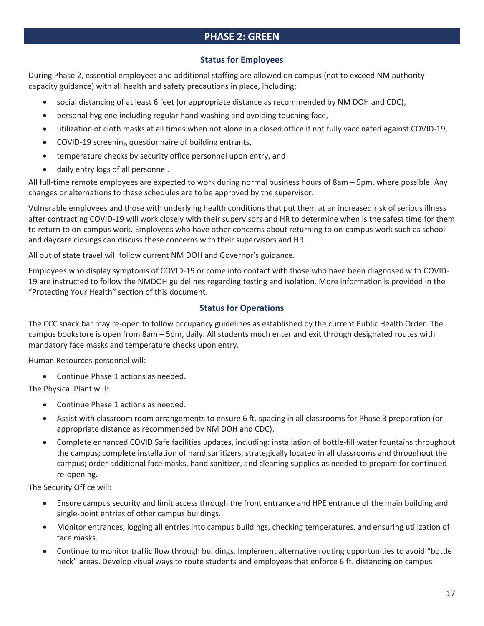# **PHASE 2: GREEN**

#### **Status for Employees**

During Phase 2, essential employees and additional staffing are allowed on campus (not to exceed NM authority capacity guidance) with all health and safety precautions in place, including:

- social distancing of at least 6 feet (or appropriate distance as recommended by NM DOH and CDC),
- personal hygiene including regular hand washing and avoiding touching face,
- x utilization of cloth masks at all times when not alone in a closed office if not fully vaccinated against COVID-19,
- COVID-19 screening questionnaire of building entrants,
- temperature checks by security office personnel upon entry, and
- daily entry logs of all personnel.

All full-time remote employees are expected to work during normal business hours of 8am – 5pm, where possible. Any changes or alternations to these schedules are to be approved by the supervisor.

Vulnerable employees and those with underlying health conditions that put them at an increased risk of serious illness after contracting COVID-19 will work closely with their supervisors and HR to determine when is the safest time for them to return to on-campus work. Employees who have other concerns about returning to on-campus work such as school and daycare closings can discuss these concerns with their supervisors and HR.

All out of state travel will follow current NM DOH and Governor's guidance.

Employees who display symptoms of COVID-19 or come into contact with those who have been diagnosed with COVID-19 are instructed to follow the NMDOH guidelines regarding testing and isolation. More information is provided in the "Protecting Your Health" section of this document.

#### **Status for Operations**

The CCC snack bar may re-open to follow occupancy guidelines as established by the current Public Health Order. The campus bookstore is open from 8am – 5pm, daily. All students much enter and exit through designated routes with mandatory face masks and temperature checks upon entry.

Human Resources personnel will:

• Continue Phase 1 actions as needed.

The Physical Plant will:

- Continue Phase 1 actions as needed.
- Assist with classroom room arrangements to ensure 6 ft. spacing in all classrooms for Phase 3 preparation (or appropriate distance as recommended by NM DOH and CDC).
- Complete enhanced COVID Safe facilities updates, including: installation of bottle-fill water fountains throughout the campus; complete installation of hand sanitizers, strategically located in all classrooms and throughout the campus; order additional face masks, hand sanitizer, and cleaning supplies as needed to prepare for continued re-opening.

The Security Office will:

- x Ensure campus security and limit access through the front entrance and HPE entrance of the main building and single-point entries of other campus buildings.
- x Monitor entrances, logging all entries into campus buildings, checking temperatures, and ensuring utilization of face masks.
- Continue to monitor traffic flow through buildings. Implement alternative routing opportunities to avoid "bottle neck" areas. Develop visual ways to route students and employees that enforce 6 ft. distancing on campus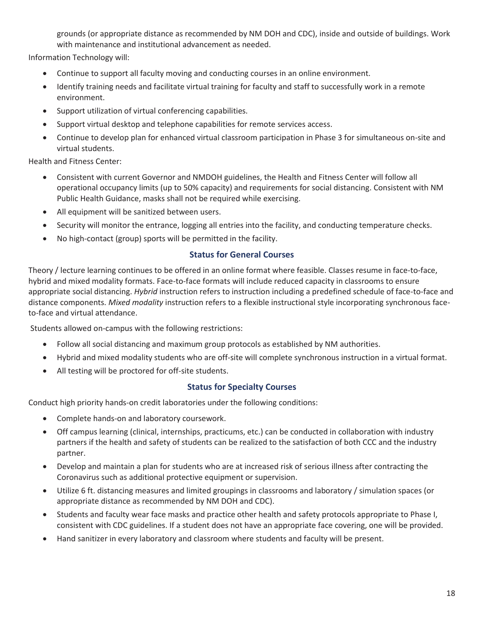grounds (or appropriate distance as recommended by NM DOH and CDC), inside and outside of buildings. Work with maintenance and institutional advancement as needed.

Information Technology will:

- Continue to support all faculty moving and conducting courses in an online environment.
- Identify training needs and facilitate virtual training for faculty and staff to successfully work in a remote environment.
- Support utilization of virtual conferencing capabilities.
- Support virtual desktop and telephone capabilities for remote services access.
- Continue to develop plan for enhanced virtual classroom participation in Phase 3 for simultaneous on-site and virtual students.

Health and Fitness Center:

- Consistent with current Governor and NMDOH guidelines, the Health and Fitness Center will follow all operational occupancy limits (up to 50% capacity) and requirements for social distancing. Consistent with NM Public Health Guidance, masks shall not be required while exercising.
- All equipment will be sanitized between users.
- Security will monitor the entrance, logging all entries into the facility, and conducting temperature checks.
- No high-contact (group) sports will be permitted in the facility.

#### **Status for General Courses**

Theory / lecture learning continues to be offered in an online format where feasible. Classes resume in face-to-face, hybrid and mixed modality formats. Face-to-face formats will include reduced capacity in classrooms to ensure appropriate social distancing. *Hybrid* instruction refers to instruction including a predefined schedule of face-to-face and distance components. *Mixed modality* instruction refers to a flexible instructional style incorporating synchronous faceto-face and virtual attendance.

Students allowed on-campus with the following restrictions:

- Follow all social distancing and maximum group protocols as established by NM authorities.
- x Hybrid and mixed modality students who are off-site will complete synchronous instruction in a virtual format.
- All testing will be proctored for off-site students.

#### **Status for Specialty Courses**

Conduct high priority hands-on credit laboratories under the following conditions:

- Complete hands-on and laboratory coursework.
- Off campus learning (clinical, internships, practicums, etc.) can be conducted in collaboration with industry partners if the health and safety of students can be realized to the satisfaction of both CCC and the industry partner.
- Develop and maintain a plan for students who are at increased risk of serious illness after contracting the Coronavirus such as additional protective equipment or supervision.
- x Utilize 6 ft. distancing measures and limited groupings in classrooms and laboratory / simulation spaces (or appropriate distance as recommended by NM DOH and CDC).
- Students and faculty wear face masks and practice other health and safety protocols appropriate to Phase I, consistent with CDC guidelines. If a student does not have an appropriate face covering, one will be provided.
- Hand sanitizer in every laboratory and classroom where students and faculty will be present.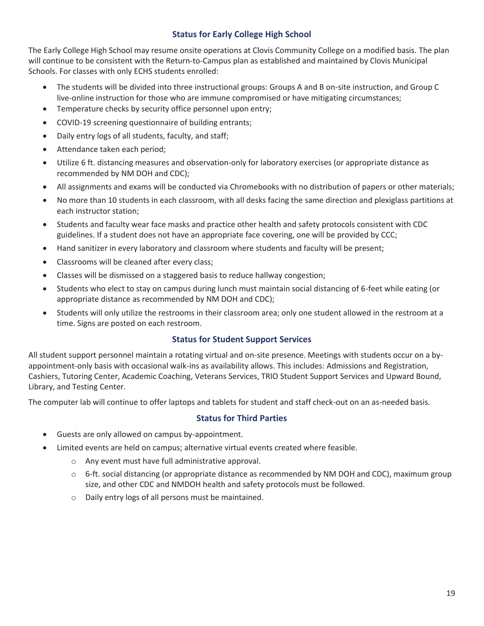#### **Status for Early College High School**

The Early College High School may resume onsite operations at Clovis Community College on a modified basis. The plan will continue to be consistent with the Return-to-Campus plan as established and maintained by Clovis Municipal Schools. For classes with only ECHS students enrolled:

- The students will be divided into three instructional groups: Groups A and B on-site instruction, and Group C live-online instruction for those who are immune compromised or have mitigating circumstances;
- Temperature checks by security office personnel upon entry;
- COVID-19 screening questionnaire of building entrants;
- Daily entry logs of all students, faculty, and staff;
- Attendance taken each period;
- Utilize 6 ft. distancing measures and observation-only for laboratory exercises (or appropriate distance as recommended by NM DOH and CDC);
- All assignments and exams will be conducted via Chromebooks with no distribution of papers or other materials;
- No more than 10 students in each classroom, with all desks facing the same direction and plexiglass partitions at each instructor station;
- Students and faculty wear face masks and practice other health and safety protocols consistent with CDC guidelines. If a student does not have an appropriate face covering, one will be provided by CCC;
- Hand sanitizer in every laboratory and classroom where students and faculty will be present;
- Classrooms will be cleaned after every class;
- Classes will be dismissed on a staggered basis to reduce hallway congestion;
- Students who elect to stay on campus during lunch must maintain social distancing of 6-feet while eating (or appropriate distance as recommended by NM DOH and CDC);
- Students will only utilize the restrooms in their classroom area; only one student allowed in the restroom at a time. Signs are posted on each restroom.

#### **Status for Student Support Services**

All student support personnel maintain a rotating virtual and on-site presence. Meetings with students occur on a byappointment-only basis with occasional walk-ins as availability allows. This includes: Admissions and Registration, Cashiers, Tutoring Center, Academic Coaching, Veterans Services, TRIO Student Support Services and Upward Bound, Library, and Testing Center.

The computer lab will continue to offer laptops and tablets for student and staff check-out on an as-needed basis.

#### **Status for Third Parties**

- Guests are only allowed on campus by-appointment.
- Limited events are held on campus; alternative virtual events created where feasible.
	- o Any event must have full administrative approval.
	- $\circ$  6-ft. social distancing (or appropriate distance as recommended by NM DOH and CDC), maximum group size, and other CDC and NMDOH health and safety protocols must be followed.
	- o Daily entry logs of all persons must be maintained.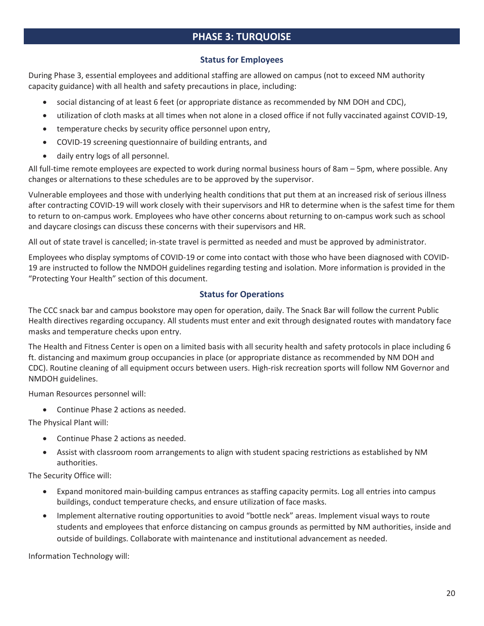# **PHASE 3: TURQUOISE**

#### **Status for Employees**

During Phase 3, essential employees and additional staffing are allowed on campus (not to exceed NM authority capacity guidance) with all health and safety precautions in place, including:

- social distancing of at least 6 feet (or appropriate distance as recommended by NM DOH and CDC),
- utilization of cloth masks at all times when not alone in a closed office if not fully vaccinated against COVID-19,
- temperature checks by security office personnel upon entry,
- COVID-19 screening questionnaire of building entrants, and
- daily entry logs of all personnel.

All full-time remote employees are expected to work during normal business hours of 8am – 5pm, where possible. Any changes or alternations to these schedules are to be approved by the supervisor.

Vulnerable employees and those with underlying health conditions that put them at an increased risk of serious illness after contracting COVID-19 will work closely with their supervisors and HR to determine when is the safest time for them to return to on-campus work. Employees who have other concerns about returning to on-campus work such as school and daycare closings can discuss these concerns with their supervisors and HR.

All out of state travel is cancelled; in-state travel is permitted as needed and must be approved by administrator.

Employees who display symptoms of COVID-19 or come into contact with those who have been diagnosed with COVID-19 are instructed to follow the NMDOH guidelines regarding testing and isolation. More information is provided in the "Protecting Your Health" section of this document.

#### **Status for Operations**

The CCC snack bar and campus bookstore may open for operation, daily. The Snack Bar will follow the current Public Health directives regarding occupancy. All students must enter and exit through designated routes with mandatory face masks and temperature checks upon entry.

The Health and Fitness Center is open on a limited basis with all security health and safety protocols in place including 6 ft. distancing and maximum group occupancies in place (or appropriate distance as recommended by NM DOH and CDC). Routine cleaning of all equipment occurs between users. High-risk recreation sports will follow NM Governor and NMDOH guidelines.

Human Resources personnel will:

• Continue Phase 2 actions as needed.

The Physical Plant will:

- Continue Phase 2 actions as needed.
- Assist with classroom room arrangements to align with student spacing restrictions as established by NM authorities.

The Security Office will:

- x Expand monitored main-building campus entrances as staffing capacity permits. Log all entries into campus buildings, conduct temperature checks, and ensure utilization of face masks.
- Implement alternative routing opportunities to avoid "bottle neck" areas. Implement visual ways to route students and employees that enforce distancing on campus grounds as permitted by NM authorities, inside and outside of buildings. Collaborate with maintenance and institutional advancement as needed.

Information Technology will: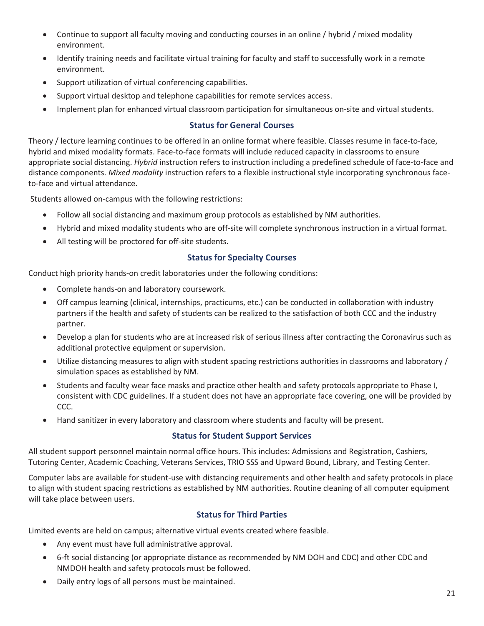- Continue to support all faculty moving and conducting courses in an online / hybrid / mixed modality environment.
- Identify training needs and facilitate virtual training for faculty and staff to successfully work in a remote environment.
- Support utilization of virtual conferencing capabilities.
- Support virtual desktop and telephone capabilities for remote services access.
- Implement plan for enhanced virtual classroom participation for simultaneous on-site and virtual students.

#### **Status for General Courses**

Theory / lecture learning continues to be offered in an online format where feasible. Classes resume in face-to-face, hybrid and mixed modality formats. Face-to-face formats will include reduced capacity in classrooms to ensure appropriate social distancing. *Hybrid* instruction refers to instruction including a predefined schedule of face-to-face and distance components. *Mixed modality* instruction refers to a flexible instructional style incorporating synchronous faceto-face and virtual attendance.

Students allowed on-campus with the following restrictions:

- Follow all social distancing and maximum group protocols as established by NM authorities.
- x Hybrid and mixed modality students who are off-site will complete synchronous instruction in a virtual format.
- All testing will be proctored for off-site students.

#### **Status for Specialty Courses**

Conduct high priority hands-on credit laboratories under the following conditions:

- Complete hands-on and laboratory coursework.
- Off campus learning (clinical, internships, practicums, etc.) can be conducted in collaboration with industry partners if the health and safety of students can be realized to the satisfaction of both CCC and the industry partner.
- Develop a plan for students who are at increased risk of serious illness after contracting the Coronavirus such as additional protective equipment or supervision.
- Utilize distancing measures to align with student spacing restrictions authorities in classrooms and laboratory / simulation spaces as established by NM.
- Students and faculty wear face masks and practice other health and safety protocols appropriate to Phase I, consistent with CDC guidelines. If a student does not have an appropriate face covering, one will be provided by CCC.
- Hand sanitizer in every laboratory and classroom where students and faculty will be present.

#### **Status for Student Support Services**

All student support personnel maintain normal office hours. This includes: Admissions and Registration, Cashiers, Tutoring Center, Academic Coaching, Veterans Services, TRIO SSS and Upward Bound, Library, and Testing Center.

Computer labs are available for student-use with distancing requirements and other health and safety protocols in place to align with student spacing restrictions as established by NM authorities. Routine cleaning of all computer equipment will take place between users.

#### **Status for Third Parties**

Limited events are held on campus; alternative virtual events created where feasible.

- Any event must have full administrative approval.
- 6-ft social distancing (or appropriate distance as recommended by NM DOH and CDC) and other CDC and NMDOH health and safety protocols must be followed.
- Daily entry logs of all persons must be maintained.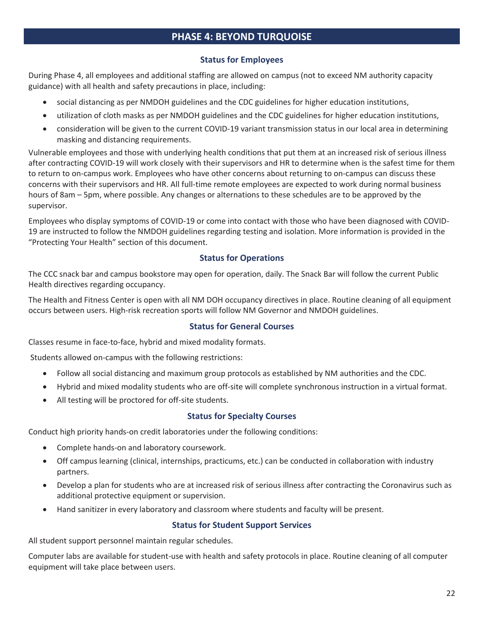# **PHASE 4: BEYOND TURQUOISE**

#### **Status for Employees**

During Phase 4, all employees and additional staffing are allowed on campus (not to exceed NM authority capacity guidance) with all health and safety precautions in place, including:

- social distancing as per NMDOH guidelines and the CDC guidelines for higher education institutions,
- utilization of cloth masks as per NMDOH guidelines and the CDC guidelines for higher education institutions,
- x consideration will be given to the current COVID-19 variant transmission status in our local area in determining masking and distancing requirements.

Vulnerable employees and those with underlying health conditions that put them at an increased risk of serious illness after contracting COVID-19 will work closely with their supervisors and HR to determine when is the safest time for them to return to on-campus work. Employees who have other concerns about returning to on-campus can discuss these concerns with their supervisors and HR. All full-time remote employees are expected to work during normal business hours of 8am – 5pm, where possible. Any changes or alternations to these schedules are to be approved by the supervisor.

Employees who display symptoms of COVID-19 or come into contact with those who have been diagnosed with COVID-19 are instructed to follow the NMDOH guidelines regarding testing and isolation. More information is provided in the "Protecting Your Health" section of this document.

#### **Status for Operations**

The CCC snack bar and campus bookstore may open for operation, daily. The Snack Bar will follow the current Public Health directives regarding occupancy.

The Health and Fitness Center is open with all NM DOH occupancy directives in place. Routine cleaning of all equipment occurs between users. High-risk recreation sports will follow NM Governor and NMDOH guidelines.

#### **Status for General Courses**

Classes resume in face-to-face, hybrid and mixed modality formats.

Students allowed on-campus with the following restrictions:

- Follow all social distancing and maximum group protocols as established by NM authorities and the CDC.
- x Hybrid and mixed modality students who are off-site will complete synchronous instruction in a virtual format.
- All testing will be proctored for off-site students.

#### **Status for Specialty Courses**

Conduct high priority hands-on credit laboratories under the following conditions:

- Complete hands-on and laboratory coursework.
- Off campus learning (clinical, internships, practicums, etc.) can be conducted in collaboration with industry partners.
- Develop a plan for students who are at increased risk of serious illness after contracting the Coronavirus such as additional protective equipment or supervision.
- Hand sanitizer in every laboratory and classroom where students and faculty will be present.

#### **Status for Student Support Services**

All student support personnel maintain regular schedules.

Computer labs are available for student-use with health and safety protocols in place. Routine cleaning of all computer equipment will take place between users.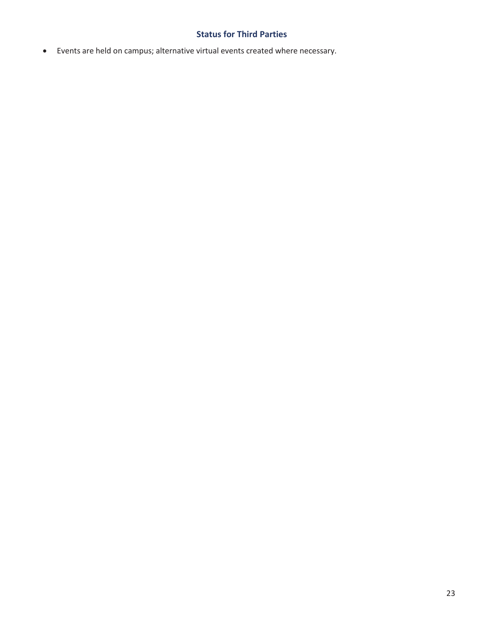# **Status for Third Parties**

x Events are held on campus; alternative virtual events created where necessary.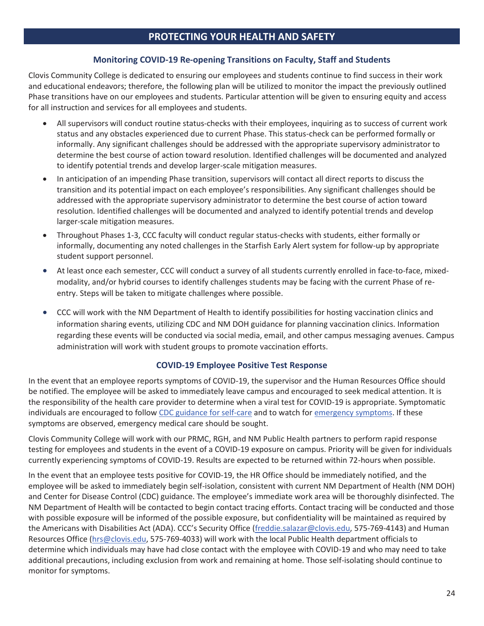# **PROTECTING YOUR HEALTH AND SAFETY**

#### **Monitoring COVID-19 Re-opening Transitions on Faculty, Staff and Students**

Clovis Community College is dedicated to ensuring our employees and students continue to find success in their work and educational endeavors; therefore, the following plan will be utilized to monitor the impact the previously outlined Phase transitions have on our employees and students. Particular attention will be given to ensuring equity and access for all instruction and services for all employees and students.

- All supervisors will conduct routine status-checks with their employees, inquiring as to success of current work status and any obstacles experienced due to current Phase. This status-check can be performed formally or informally. Any significant challenges should be addressed with the appropriate supervisory administrator to determine the best course of action toward resolution. Identified challenges will be documented and analyzed to identify potential trends and develop larger-scale mitigation measures.
- In anticipation of an impending Phase transition, supervisors will contact all direct reports to discuss the transition and its potential impact on each employee's responsibilities. Any significant challenges should be addressed with the appropriate supervisory administrator to determine the best course of action toward resolution. Identified challenges will be documented and analyzed to identify potential trends and develop larger-scale mitigation measures.
- x Throughout Phases 1-3, CCC faculty will conduct regular status-checks with students, either formally or informally, documenting any noted challenges in the Starfish Early Alert system for follow-up by appropriate student support personnel.
- At least once each semester, CCC will conduct a survey of all students currently enrolled in face-to-face, mixedmodality, and/or hybrid courses to identify challenges students may be facing with the current Phase of reentry. Steps will be taken to mitigate challenges where possible.
- CCC will work with the NM Department of Health to identify possibilities for hosting vaccination clinics and information sharing events, utilizing CDC and NM DOH guidance for planning vaccination clinics. Information regarding these events will be conducted via social media, email, and other campus messaging avenues. Campus administration will work with student groups to promote vaccination efforts.

#### **COVID-19 Employee Positive Test Response**

In the event that an employee reports symptoms of COVID-19, the supervisor and the Human Resources Office should be notified. The employee will be asked to immediately leave campus and encouraged to seek medical attention. It is the responsibility of the health care provider to determine when a viral test for COVID-19 is appropriate. Symptomatic individuals are encouraged to follow CDC guidance for self-care and to watch for emergency symptoms. If these symptoms are observed, emergency medical care should be sought.

Clovis Community College will work with our PRMC, RGH, and NM Public Health partners to perform rapid response testing for employees and students in the event of a COVID-19 exposure on campus. Priority will be given for individuals currently experiencing symptoms of COVID-19. Results are expected to be returned within 72-hours when possible.

In the event that an employee tests positive for COVID-19, the HR Office should be immediately notified, and the employee will be asked to immediately begin self-isolation, consistent with current NM Department of Health (NM DOH) and Center for Disease Control (CDC) guidance. The employee's immediate work area will be thoroughly disinfected. The NM Department of Health will be contacted to begin contact tracing efforts. Contact tracing will be conducted and those with possible exposure will be informed of the possible exposure, but confidentiality will be maintained as required by the Americans with Disabilities Act (ADA). CCC's Security Office (freddie.salazar@clovis.edu, 575-769-4143) and Human Resources Office (hrs@clovis.edu, 575-769-4033) will work with the local Public Health department officials to determine which individuals may have had close contact with the employee with COVID-19 and who may need to take additional precautions, including exclusion from work and remaining at home. Those self-isolating should continue to monitor for symptoms.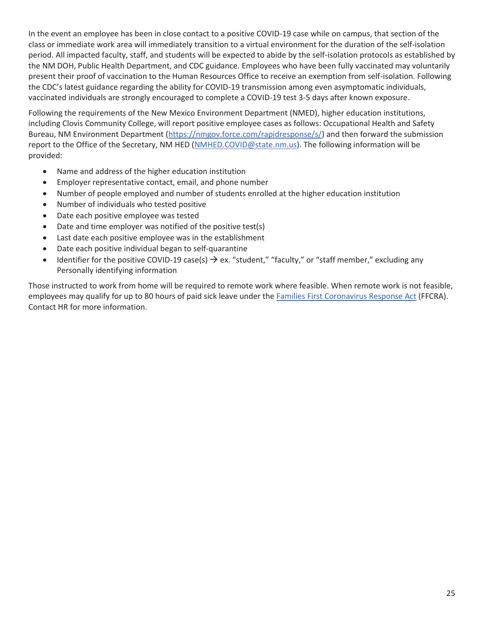In the event an employee has been in close contact to a positive COVID-19 case while on campus, that section of the class or immediate work area will immediately transition to a virtual environment for the duration of the self-isolation period. All impacted faculty, staff, and students will be expected to abide by the self-isolation protocols as established by the NM DOH, Public Health Department, and CDC guidance. Employees who have been fully vaccinated may voluntarily present their proof of vaccination to the Human Resources Office to receive an exemption from self-isolation. Following the CDC's latest guidance regarding the ability for COVID-19 transmission among even asymptomatic individuals, vaccinated individuals are strongly encouraged to complete a COVID-19 test 3-5 days after known exposure.

Following the requirements of the New Mexico Environment Department (NMED), higher education institutions, including Clovis Community College, will report positive employee cases as follows: Occupational Health and Safety Bureau, NM Environment Department (https://nmgov.force.com/rapidresponse/s/) and then forward the submission report to the Office of the Secretary, NM HED (NMHED.COVID@state.nm.us). The following information will be provided:

- Name and address of the higher education institution
- **•** Employer representative contact, email, and phone number
- Number of people employed and number of students enrolled at the higher education institution
- Number of individuals who tested positive
- Date each positive employee was tested
- $\bullet$  Date and time employer was notified of the positive test(s)
- Last date each positive employee was in the establishment
- Date each positive individual began to self-quarantine
- Identifier for the positive COVID-19 case(s)  $\rightarrow$  ex. "student," "faculty," or "staff member," excluding any Personally identifying information

Those instructed to work from home will be required to remote work where feasible. When remote work is not feasible, employees may qualify for up to 80 hours of paid sick leave under the Families First Coronavirus Response Act (FFCRA). Contact HR for more information.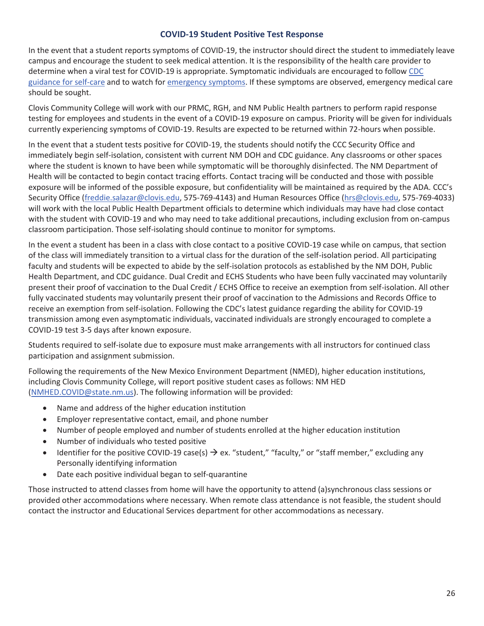#### **COVID-19 Student Positive Test Response**

In the event that a student reports symptoms of COVID-19, the instructor should direct the student to immediately leave campus and encourage the student to seek medical attention. It is the responsibility of the health care provider to determine when a viral test for COVID-19 is appropriate. Symptomatic individuals are encouraged to follow CDC guidance for self-care and to watch for emergency symptoms. If these symptoms are observed, emergency medical care should be sought.

Clovis Community College will work with our PRMC, RGH, and NM Public Health partners to perform rapid response testing for employees and students in the event of a COVID-19 exposure on campus. Priority will be given for individuals currently experiencing symptoms of COVID-19. Results are expected to be returned within 72-hours when possible.

In the event that a student tests positive for COVID-19, the students should notify the CCC Security Office and immediately begin self-isolation, consistent with current NM DOH and CDC guidance. Any classrooms or other spaces where the student is known to have been while symptomatic will be thoroughly disinfected. The NM Department of Health will be contacted to begin contact tracing efforts. Contact tracing will be conducted and those with possible exposure will be informed of the possible exposure, but confidentiality will be maintained as required by the ADA. CCC's Security Office (freddie.salazar@clovis.edu, 575-769-4143) and Human Resources Office (hrs@clovis.edu, 575-769-4033) will work with the local Public Health Department officials to determine which individuals may have had close contact with the student with COVID-19 and who may need to take additional precautions, including exclusion from on-campus classroom participation. Those self-isolating should continue to monitor for symptoms.

In the event a student has been in a class with close contact to a positive COVID-19 case while on campus, that section of the class will immediately transition to a virtual class for the duration of the self-isolation period. All participating faculty and students will be expected to abide by the self-isolation protocols as established by the NM DOH, Public Health Department, and CDC guidance. Dual Credit and ECHS Students who have been fully vaccinated may voluntarily present their proof of vaccination to the Dual Credit / ECHS Office to receive an exemption from self-isolation. All other fully vaccinated students may voluntarily present their proof of vaccination to the Admissions and Records Office to receive an exemption from self-isolation. Following the CDC's latest guidance regarding the ability for COVID-19 transmission among even asymptomatic individuals, vaccinated individuals are strongly encouraged to complete a COVID-19 test 3-5 days after known exposure.

Students required to self-isolate due to exposure must make arrangements with all instructors for continued class participation and assignment submission.

Following the requirements of the New Mexico Environment Department (NMED), higher education institutions, including Clovis Community College, will report positive student cases as follows: NM HED (NMHED.COVID@state.nm.us). The following information will be provided:

- Name and address of the higher education institution
- Employer representative contact, email, and phone number
- Number of people employed and number of students enrolled at the higher education institution
- Number of individuals who tested positive
- Identifier for the positive COVID-19 case(s)  $\rightarrow$  ex. "student," "faculty," or "staff member," excluding any Personally identifying information
- Date each positive individual began to self-quarantine

Those instructed to attend classes from home will have the opportunity to attend (a)synchronous class sessions or provided other accommodations where necessary. When remote class attendance is not feasible, the student should contact the instructor and Educational Services department for other accommodations as necessary.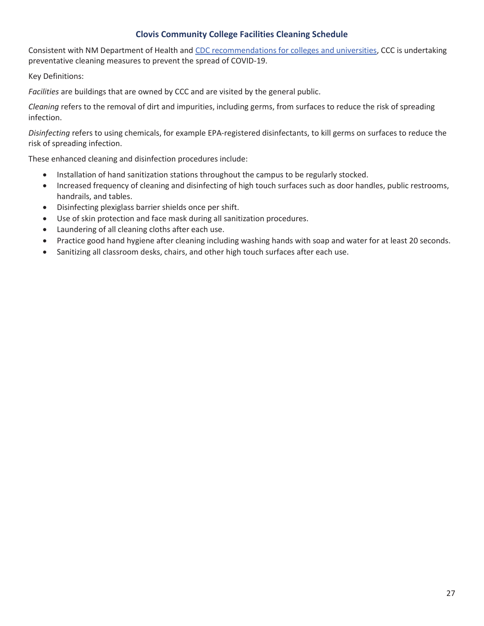#### **Clovis Community College Facilities Cleaning Schedule**

Consistent with NM Department of Health and CDC recommendations for colleges and universities, CCC is undertaking preventative cleaning measures to prevent the spread of COVID-19.

Key Definitions:

*Facilities* are buildings that are owned by CCC and are visited by the general public.

*Cleaning* refers to the removal of dirt and impurities, including germs, from surfaces to reduce the risk of spreading infection.

*Disinfecting* refers to using chemicals, for example EPA-registered disinfectants, to kill germs on surfaces to reduce the risk of spreading infection.

These enhanced cleaning and disinfection procedures include:

- Installation of hand sanitization stations throughout the campus to be regularly stocked.
- Increased frequency of cleaning and disinfecting of high touch surfaces such as door handles, public restrooms, handrails, and tables.
- Disinfecting plexiglass barrier shields once per shift.
- Use of skin protection and face mask during all sanitization procedures.
- Laundering of all cleaning cloths after each use.
- Practice good hand hygiene after cleaning including washing hands with soap and water for at least 20 seconds.
- Sanitizing all classroom desks, chairs, and other high touch surfaces after each use.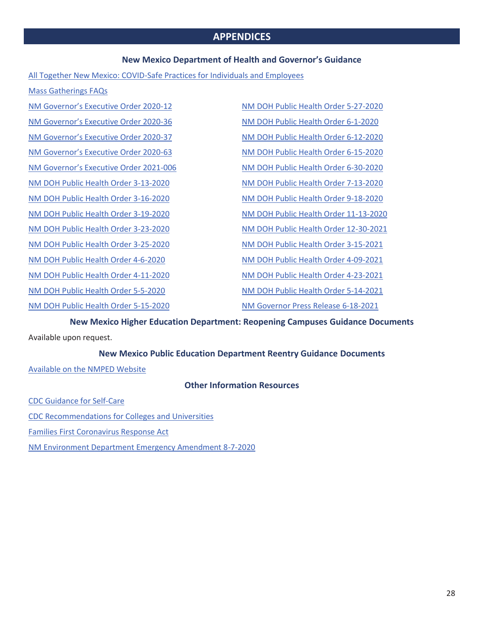#### **APPENDICES**

#### **New Mexico Department of Health and Governor's Guidance**

All Together New Mexico: COVID-Safe Practices for Individuals and Employees

Mass Gatherings FAQs

NM Governor's Executive Order 2020-12

NM Governor's Executive Order 2020-36 NM Governor's Executive Order 2020-37

NM Governor's Executive Order 2020-63 NM Governor's Executive Order 2021-006

NM DOH Public Health Order 3-13-2020

NM DOH Public Health Order 3-16-2020 NM DOH Public Health Order 3-19-2020

NM DOH Public Health Order 3-23-2020

NM DOH Public Health Order 3-25-2020

NM DOH Public Health Order 4-6-2020

NM DOH Public Health Order 4-11-2020

NM DOH Public Health Order 5-5-2020

NM DOH Public Health Order 5-15-2020

NM DOH Public Health Order 5-27-2020 NM DOH Public Health Order 6-1-2020 NM DOH Public Health Order 6-12-2020 NM DOH Public Health Order 6-15-2020 NM DOH Public Health Order 6-30-2020 NM DOH Public Health Order 7-13-2020 NM DOH Public Health Order 9-18-2020 NM DOH Public Health Order 11-13-2020 NM DOH Public Health Order 12-30-2021 NM DOH Public Health Order 3-15-2021 NM DOH Public Health Order 4-09-2021 NM DOH Public Health Order 4-23-2021 NM DOH Public Health Order 5-14-2021

NM Governor Press Release 6-18-2021

**New Mexico Higher Education Department: Reopening Campuses Guidance Documents**  Available upon request.

**New Mexico Public Education Department Reentry Guidance Documents** 

Available on the NMPED Website

**Other Information Resources** 

CDC Guidance for Self-Care CDC Recommendations for Colleges and Universities Families First Coronavirus Response Act NM Environment Department Emergency Amendment 8-7-2020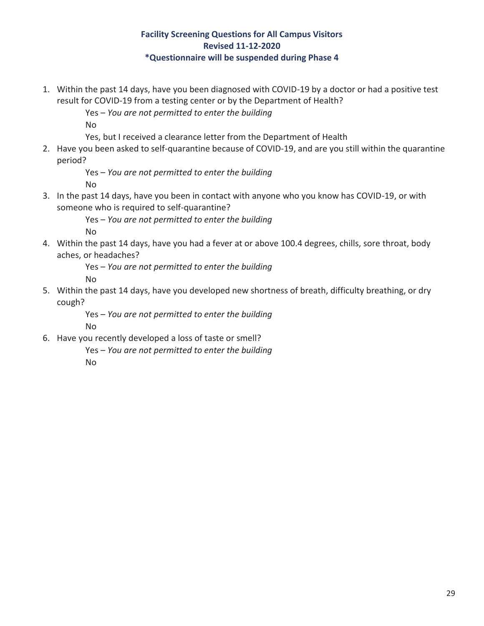#### **Facility Screening Questions for All Campus Visitors Revised 11-12-2020 \*Questionnaire will be suspended during Phase 4**

1. Within the past 14 days, have you been diagnosed with COVID-19 by a doctor or had a positive test result for COVID-19 from a testing center or by the Department of Health?

Yes – *You are not permitted to enter the building*

No

Yes, but I received a clearance letter from the Department of Health

2. Have you been asked to self-quarantine because of COVID-19, and are you still within the quarantine period?

Yes – *You are not permitted to enter the building*

No

3. In the past 14 days, have you been in contact with anyone who you know has COVID-19, or with someone who is required to self-quarantine?

> Yes – *You are not permitted to enter the building* No

4. Within the past 14 days, have you had a fever at or above 100.4 degrees, chills, sore throat, body aches, or headaches?

Yes – *You are not permitted to enter the building*

No

5. Within the past 14 days, have you developed new shortness of breath, difficulty breathing, or dry cough?

> Yes – *You are not permitted to enter the building* No

- 6. Have you recently developed a loss of taste or smell?
	- Yes *You are not permitted to enter the building* No